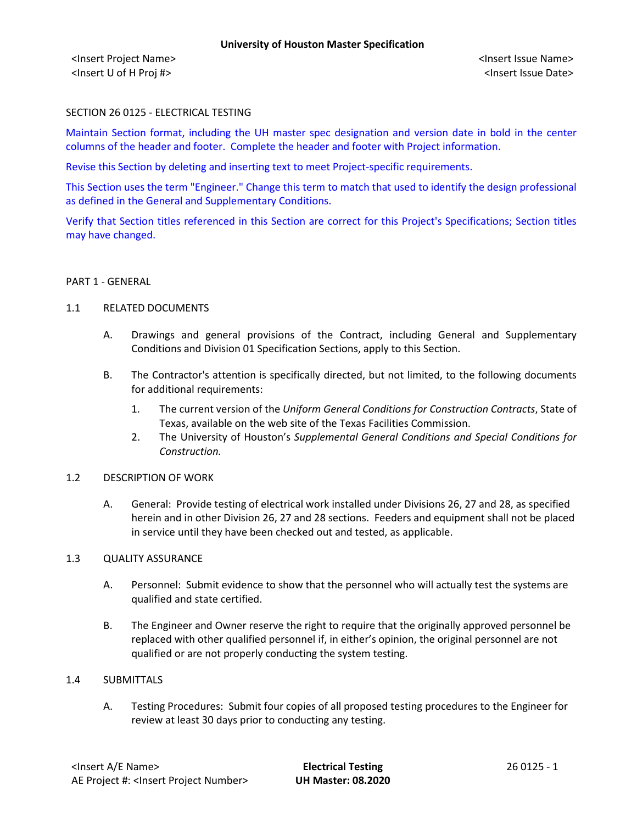<Insert Project Name> <Insert Issue Name> <Insert U of H Proj #> <Insert Issue Date>

# SECTION 26 0125 - ELECTRICAL TESTING

Maintain Section format, including the UH master spec designation and version date in bold in the center columns of the header and footer. Complete the header and footer with Project information.

Revise this Section by deleting and inserting text to meet Project-specific requirements.

This Section uses the term "Engineer." Change this term to match that used to identify the design professional as defined in the General and Supplementary Conditions.

Verify that Section titles referenced in this Section are correct for this Project's Specifications; Section titles may have changed.

#### PART 1 - GENERAL

## 1.1 RELATED DOCUMENTS

- A. Drawings and general provisions of the Contract, including General and Supplementary Conditions and Division 01 Specification Sections, apply to this Section.
- B. The Contractor's attention is specifically directed, but not limited, to the following documents for additional requirements:
	- 1. The current version of the *Uniform General Conditions for Construction Contracts*, State of Texas, available on the web site of the Texas Facilities Commission.
	- 2. The University of Houston's *Supplemental General Conditions and Special Conditions for Construction.*

#### 1.2 DESCRIPTION OF WORK

A. General: Provide testing of electrical work installed under Divisions 26, 27 and 28, as specified herein and in other Division 26, 27 and 28 sections. Feeders and equipment shall not be placed in service until they have been checked out and tested, as applicable.

#### 1.3 QUALITY ASSURANCE

- A. Personnel: Submit evidence to show that the personnel who will actually test the systems are qualified and state certified.
- B. The Engineer and Owner reserve the right to require that the originally approved personnel be replaced with other qualified personnel if, in either's opinion, the original personnel are not qualified or are not properly conducting the system testing.

## 1.4 SUBMITTALS

A. Testing Procedures: Submit four copies of all proposed testing procedures to the Engineer for review at least 30 days prior to conducting any testing.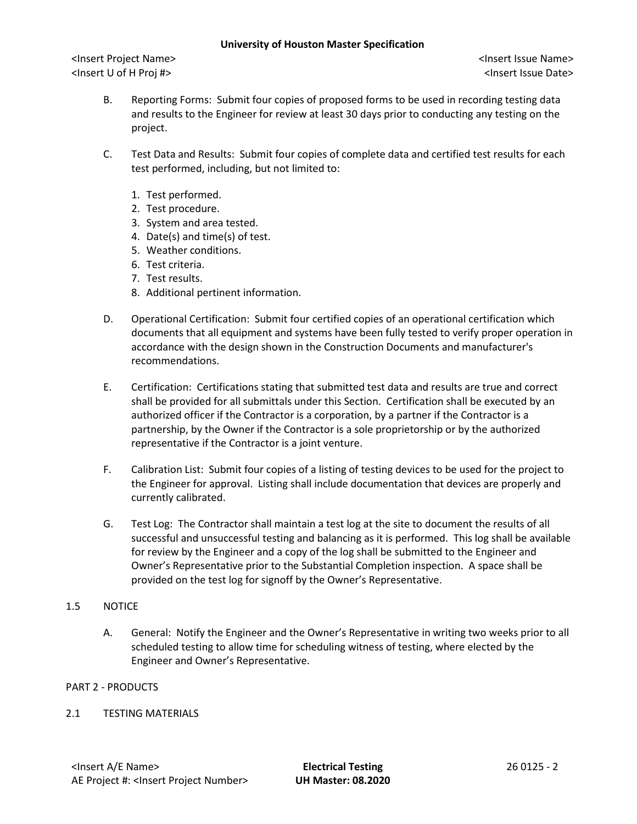<Insert Project Name> <Insert Issue Name> <Insert U of H Proj #> <Insert Issue Date>

- B. Reporting Forms: Submit four copies of proposed forms to be used in recording testing data and results to the Engineer for review at least 30 days prior to conducting any testing on the project.
- C. Test Data and Results: Submit four copies of complete data and certified test results for each test performed, including, but not limited to:
	- 1. Test performed.
	- 2. Test procedure.
	- 3. System and area tested.
	- 4. Date(s) and time(s) of test.
	- 5. Weather conditions.
	- 6. Test criteria.
	- 7. Test results.
	- 8. Additional pertinent information.
- D. Operational Certification: Submit four certified copies of an operational certification which documents that all equipment and systems have been fully tested to verify proper operation in accordance with the design shown in the Construction Documents and manufacturer's recommendations.
- E. Certification: Certifications stating that submitted test data and results are true and correct shall be provided for all submittals under this Section. Certification shall be executed by an authorized officer if the Contractor is a corporation, by a partner if the Contractor is a partnership, by the Owner if the Contractor is a sole proprietorship or by the authorized representative if the Contractor is a joint venture.
- F. Calibration List: Submit four copies of a listing of testing devices to be used for the project to the Engineer for approval. Listing shall include documentation that devices are properly and currently calibrated.
- G. Test Log: The Contractor shall maintain a test log at the site to document the results of all successful and unsuccessful testing and balancing as it is performed. This log shall be available for review by the Engineer and a copy of the log shall be submitted to the Engineer and Owner's Representative prior to the Substantial Completion inspection. A space shall be provided on the test log for signoff by the Owner's Representative.

#### 1.5 NOTICE

A. General: Notify the Engineer and the Owner's Representative in writing two weeks prior to all scheduled testing to allow time for scheduling witness of testing, where elected by the Engineer and Owner's Representative.

#### PART 2 - PRODUCTS

#### 2.1 TESTING MATERIALS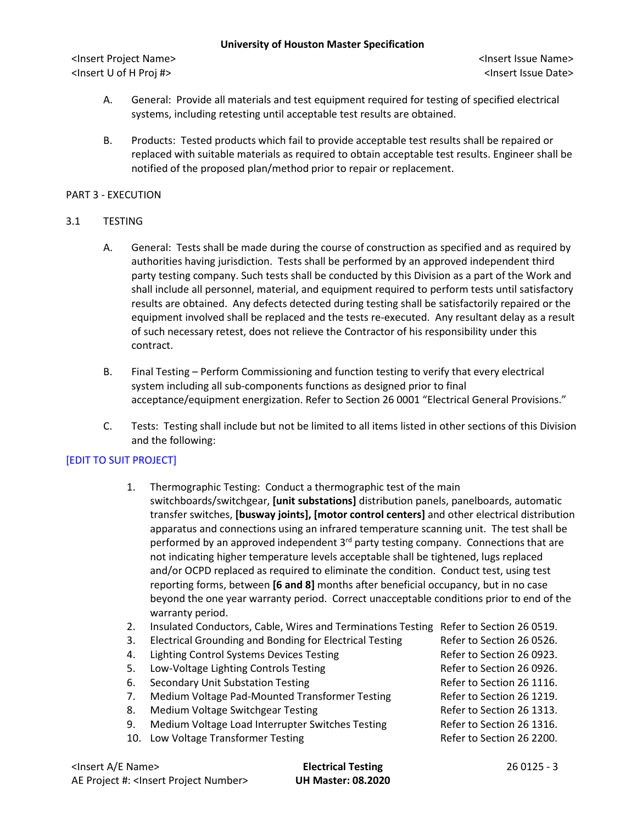<Insert Project Name> <Insert Issue Name> <Insert U of H Proj #> <Insert Issue Date>

- A. General: Provide all materials and test equipment required for testing of specified electrical systems, including retesting until acceptable test results are obtained.
- B. Products: Tested products which fail to provide acceptable test results shall be repaired or replaced with suitable materials as required to obtain acceptable test results. Engineer shall be notified of the proposed plan/method prior to repair or replacement.

# PART 3 - EXECUTION

#### 3.1 TESTING

- A. General: Tests shall be made during the course of construction as specified and as required by authorities having jurisdiction. Tests shall be performed by an approved independent third party testing company. Such tests shall be conducted by this Division as a part of the Work and shall include all personnel, material, and equipment required to perform tests until satisfactory results are obtained. Any defects detected during testing shall be satisfactorily repaired or the equipment involved shall be replaced and the tests re-executed. Any resultant delay as a result of such necessary retest, does not relieve the Contractor of his responsibility under this contract.
- B. Final Testing Perform Commissioning and function testing to verify that every electrical system including all sub-components functions as designed prior to final acceptance/equipment energization. Refer to Section 26 0001 "Electrical General Provisions."
- C. Tests: Testing shall include but not be limited to all items listed in other sections of this Division and the following:

# [EDIT TO SUIT PROJECT]

- 1. Thermographic Testing: Conduct a thermographic test of the main switchboards/switchgear, **[unit substations]** distribution panels, panelboards, automatic transfer switches, **[busway joints], [motor control centers]** and other electrical distribution apparatus and connections using an infrared temperature scanning unit. The test shall be performed by an approved independent  $3<sup>rd</sup>$  party testing company. Connections that are not indicating higher temperature levels acceptable shall be tightened, lugs replaced and/or OCPD replaced as required to eliminate the condition. Conduct test, using test reporting forms, between **[6 and 8]** months after beneficial occupancy, but in no case beyond the one year warranty period. Correct unacceptable conditions prior to end of the warranty period.
- 2. Insulated Conductors, Cable, Wires and Terminations Testing Refer to Section 26 0519.
- 3. Electrical Grounding and Bonding for Electrical Testing Refer to Section 26 0526.
- 4. Lighting Control Systems Devices Testing The Refer to Section 26 0923.
- 5. Low-Voltage Lighting Controls Testing The Control Refer to Section 26 0926.
- 6. Secondary Unit Substation Testing The Refer to Section 26 1116.
- 7. Medium Voltage Pad-Mounted Transformer Testing Refer to Section 26 1219.
- 8. Medium Voltage Switchgear Testing Testing Refer to Section 26 1313.
- 9. Medium Voltage Load Interrupter Switches Testing Refer to Section 26 1316.
- 10. Low Voltage Transformer Testing The Control of Refer to Section 26 2200.